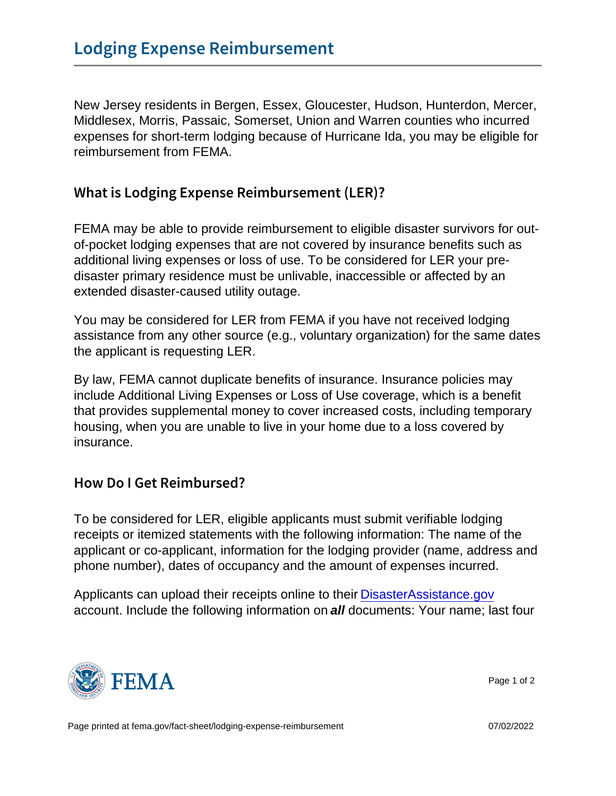New Jersey residents in Bergen, Essex, Gloucester, Hudson, Hunterdon, Mercer, Middlesex, Morris, Passaic, Somerset, Union and Warren counties who incurred expenses for short-term lodging because of Hurricane Ida, you may be eligible for reimbursement from FEMA.

## What is Lodging Expense Reimbursement (LER)?

FEMA may be able to provide reimbursement to eligible disaster survivors for outof-pocket lodging expenses that are not covered by insurance benefits such as additional living expenses or loss of use. To be considered for LER your predisaster primary residence must be unlivable, inaccessible or affected by an extended disaster-caused utility outage.

You may be considered for LER from FEMA if you have not received lodging assistance from any other source (e.g., voluntary organization) for the same dates the applicant is requesting LER.

By law, FEMA cannot duplicate benefits of insurance. Insurance policies may include Additional Living Expenses or Loss of Use coverage, which is a benefit that provides supplemental money to cover increased costs, including temporary housing, when you are unable to live in your home due to a loss covered by insurance.

## How Do I Get Reimbursed?

To be considered for LER, eligible applicants must submit verifiable lodging receipts or itemized statements with the following information: The name of the applicant or co-applicant, information for the lodging provider (name, address and phone number), dates of occupancy and the amount of expenses incurred.

Applicants can upload their receipts online to their [DisasterAssistance.gov](http://www.disasterassistance.gov/) account. Include the following information on all documents: Your name; last four



Page 1 of 2